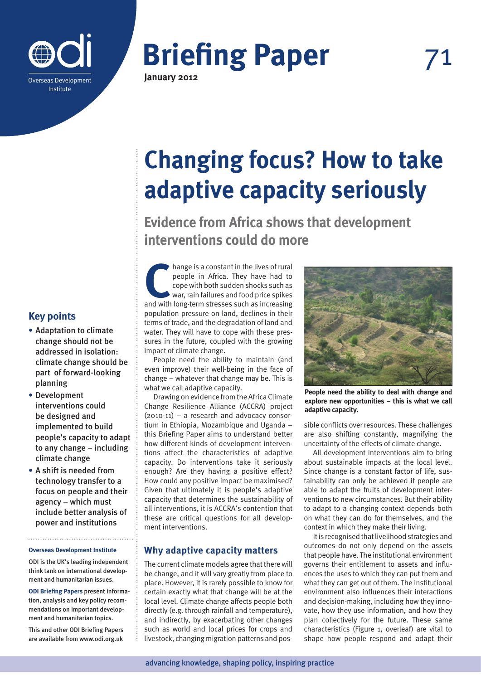

**January 2012**

# **Changing focus? How to take adaptive capacity seriously**

**Evidence from Africa shows that development interventions could do more**

hange is a constant in the lives of rural people in Africa. They have had to cope with both sudden shocks such as war, rain failures and food price spikes and with long-term stresses such as increasing people in Africa. They have had to cope with both sudden shocks such as war, rain failures and food price spikes population pressure on land, declines in their terms of trade, and the degradation of land and water. They will have to cope with these pressures in the future, coupled with the growing impact of climate change.

People need the ability to maintain (and even improve) their well-being in the face of change – whatever that change may be. This is what we call adaptive capacity.

Drawing on evidence from the Africa Climate Change Resilience Alliance (ACCRA) project (2010-11) – a research and advocacy consortium in Ethiopia, Mozambique and Uganda – this Briefing Paper aims to understand better how different kinds of development interventions affect the characteristics of adaptive capacity. Do interventions take it seriously enough? Are they having a positive effect? How could any positive impact be maximised? Given that ultimately it is people's adaptive capacity that determines the sustainability of all interventions, it is ACCRA's contention that these are critical questions for all development interventions.

## **Why adaptive capacity matters**

The current climate models agree that there will be change, and it will vary greatly from place to place. However, it is rarely possible to know for certain exactly what that change will be at the local level. Climate change affects people both directly (e.g. through rainfall and temperature), and indirectly, by exacerbating other changes such as world and local prices for crops and livestock, changing migration patterns and pos-



**People need the ability to deal with change and explore new opportunities – this is what we call adaptive capacity.**

sible conflicts over resources. These challenges are also shifting constantly, magnifying the uncertainty of the effects of climate change.

All development interventions aim to bring about sustainable impacts at the local level. Since change is a constant factor of life, sustainability can only be achieved if people are able to adapt the fruits of development interventions to new circumstances. But their ability to adapt to a changing context depends both on what they can do for themselves, and the context in which they make their living.

It is recognised that livelihood strategies and outcomes do not only depend on the assets that people have. The institutional environment governs their entitlement to assets and influences the uses to which they can put them and what they can get out of them. The institutional environment also influences their interactions and decision-making, including how they innovate, how they use information, and how they plan collectively for the future. These same characteristics (Figure 1, overleaf) are vital to shape how people respond and adapt their

# **Key points**

- **•** Adaptation to climate change should not be addressed in isolation: climate change should be part of forward-looking planning
- **•** Development interventions could be designed and implemented to build people's capacity to adapt to any change – including climate change
- **•** A shift is needed from technology transfer to a focus on people and their agency – which must include better analysis of power and institutions

#### **Overseas Development Institute**

ODI is the UK's leading independent think tank on international development and humanitarian issues.

**ODI Briefing Papers** present information, analysis and key policy recommendations on important development and humanitarian topics.

This and other ODI Briefing Papers are available from www.odi.org.uk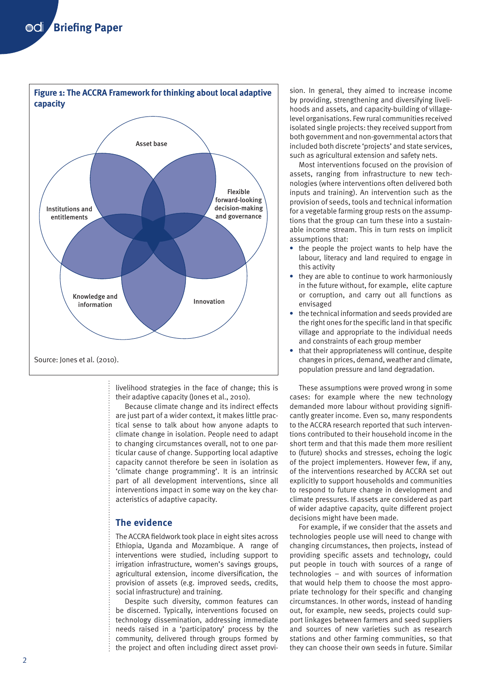

livelihood strategies in the face of change; this is their adaptive capacity (Jones et al., 2010).

Because climate change and its indirect effects are just part of a wider context, it makes little practical sense to talk about how anyone adapts to climate change in isolation. People need to adapt to changing circumstances overall, not to one particular cause of change. Supporting local adaptive capacity cannot therefore be seen in isolation as 'climate change programming'. It is an intrinsic part of all development interventions, since all interventions impact in some way on the key characteristics of adaptive capacity.

#### **The evidence**

The ACCRA fieldwork took place in eight sites across Ethiopia, Uganda and Mozambique. A range of interventions were studied, including support to irrigation infrastructure, women's savings groups, agricultural extension, income diversification, the provision of assets (e.g. improved seeds, credits, social infrastructure) and training.

Despite such diversity, common features can be discerned. Typically, interventions focused on technology dissemination, addressing immediate needs raised in a 'participatory' process by the community, delivered through groups formed by the project and often including direct asset provision. In general, they aimed to increase income by providing, strengthening and diversifying livelihoods and assets, and capacity-building of villagelevel organisations. Few rural communities received isolated single projects: they received support from both government and non-governmental actors that included both discrete 'projects' and state services, such as agricultural extension and safety nets.

Most interventions focused on the provision of assets, ranging from infrastructure to new technologies (where interventions often delivered both inputs and training). An intervention such as the provision of seeds, tools and technical information for a vegetable farming group rests on the assumptions that the group can turn these into a sustainable income stream. This in turn rests on implicit assumptions that:

- **•** the people the project wants to help have the labour, literacy and land required to engage in this activity
- **•** they are able to continue to work harmoniously in the future without, for example, elite capture or corruption, and carry out all functions as envisaged
- **•** the technical information and seeds provided are the right ones for the specific land in that specific village and appropriate to the individual needs and constraints of each group member
- **•** that their appropriateness will continue, despite changes in prices, demand, weather and climate, population pressure and land degradation.

These assumptions were proved wrong in some cases: for example where the new technology demanded more labour without providing significantly greater income. Even so, many respondents to the ACCRA research reported that such interventions contributed to their household income in the short term and that this made them more resilient to (future) shocks and stresses, echoing the logic of the project implementers. However few, if any, of the interventions researched by ACCRA set out explicitly to support households and communities to respond to future change in development and climate pressures. If assets are considered as part of wider adaptive capacity, quite different project decisions might have been made.

For example, if we consider that the assets and technologies people use will need to change with changing circumstances, then projects, instead of providing specific assets and technology, could put people in touch with sources of a range of technologies – and with sources of information that would help them to choose the most appropriate technology for their specific and changing circumstances. In other words, instead of handing out, for example, new seeds, projects could support linkages between farmers and seed suppliers and sources of new varieties such as research stations and other farming communities, so that they can choose their own seeds in future. Similar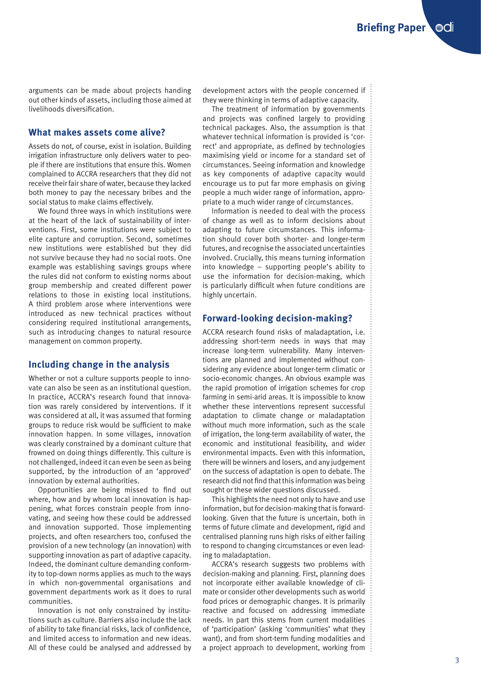arguments can be made about projects handing out other kinds of assets, including those aimed at livelihoods diversification.

#### **What makes assets come alive?**

Assets do not, of course, exist in isolation. Building irrigation infrastructure only delivers water to people if there are institutions that ensure this. Women complained to ACCRA researchers that they did not receive their fair share of water, because they lacked both money to pay the necessary bribes and the social status to make claims effectively.

We found three ways in which institutions were at the heart of the lack of sustainability of interventions. First, some institutions were subject to elite capture and corruption. Second, sometimes new institutions were established but they did not survive because they had no social roots. One example was establishing savings groups where the rules did not conform to existing norms about group membership and created different power relations to those in existing local institutions. A third problem arose where interventions were introduced as new technical practices without considering required institutional arrangements, such as introducing changes to natural resource management on common property.

#### **Including change in the analysis**

Whether or not a culture supports people to innovate can also be seen as an institutional question. In practice, ACCRA's research found that innovation was rarely considered by interventions. If it was considered at all, it was assumed that forming groups to reduce risk would be sufficient to make innovation happen. In some villages, innovation was clearly constrained by a dominant culture that frowned on doing things differently. This culture is not challenged, indeed it can even be seen as being supported, by the introduction of an 'approved' innovation by external authorities.

Opportunities are being missed to find out where, how and by whom local innovation is happening, what forces constrain people from innovating, and seeing how these could be addressed and innovation supported. Those implementing projects, and often researchers too, confused the provision of a new technology (an innovation) with supporting innovation as part of adaptive capacity. Indeed, the dominant culture demanding conformity to top-down norms applies as much to the ways in which non-governmental organisations and government departments work as it does to rural communities.

Innovation is not only constrained by institutions such as culture. Barriers also include the lack of ability to take financial risks, lack of confidence, and limited access to information and new ideas. All of these could be analysed and addressed by development actors with the people concerned if they were thinking in terms of adaptive capacity.

The treatment of information by governments and projects was confined largely to providing technical packages. Also, the assumption is that whatever technical information is provided is 'correct' and appropriate, as defined by technologies maximising yield or income for a standard set of circumstances. Seeing information and knowledge as key components of adaptive capacity would encourage us to put far more emphasis on giving people a much wider range of information, appropriate to a much wider range of circumstances.

Information is needed to deal with the process of change as well as to inform decisions about adapting to future circumstances. This information should cover both shorter- and longer-term futures, and recognise the associated uncertainties involved. Crucially, this means turning information into knowledge – supporting people's ability to use the information for decision-making, which is particularly difficult when future conditions are highly uncertain.

### **Forward-looking decision-making?**

ACCRA research found risks of maladaptation, i.e. addressing short-term needs in ways that may increase long-term vulnerability. Many interventions are planned and implemented without considering any evidence about longer-term climatic or socio-economic changes. An obvious example was the rapid promotion of irrigation schemes for crop farming in semi-arid areas. It is impossible to know whether these interventions represent successful adaptation to climate change or maladaptation without much more information, such as the scale of irrigation, the long-term availability of water, the economic and institutional feasibility, and wider environmental impacts. Even with this information, there will be winners and losers, and any judgement on the success of adaptation is open to debate. The research did not find that this information was being sought or these wider questions discussed.

This highlights the need not only to have and use information, but for decision-making that is forwardlooking. Given that the future is uncertain, both in terms of future climate and development, rigid and centralised planning runs high risks of either failing to respond to changing circumstances or even leading to maladaptation.

ACCRA's research suggests two problems with decision-making and planning. First, planning does not incorporate either available knowledge of climate or consider other developments such as world food prices or demographic changes. It is primarily reactive and focused on addressing immediate needs. In part this stems from current modalities of 'participation' (asking 'communities' what they want), and from short-term funding modalities and a project approach to development, working from  $\vdots$